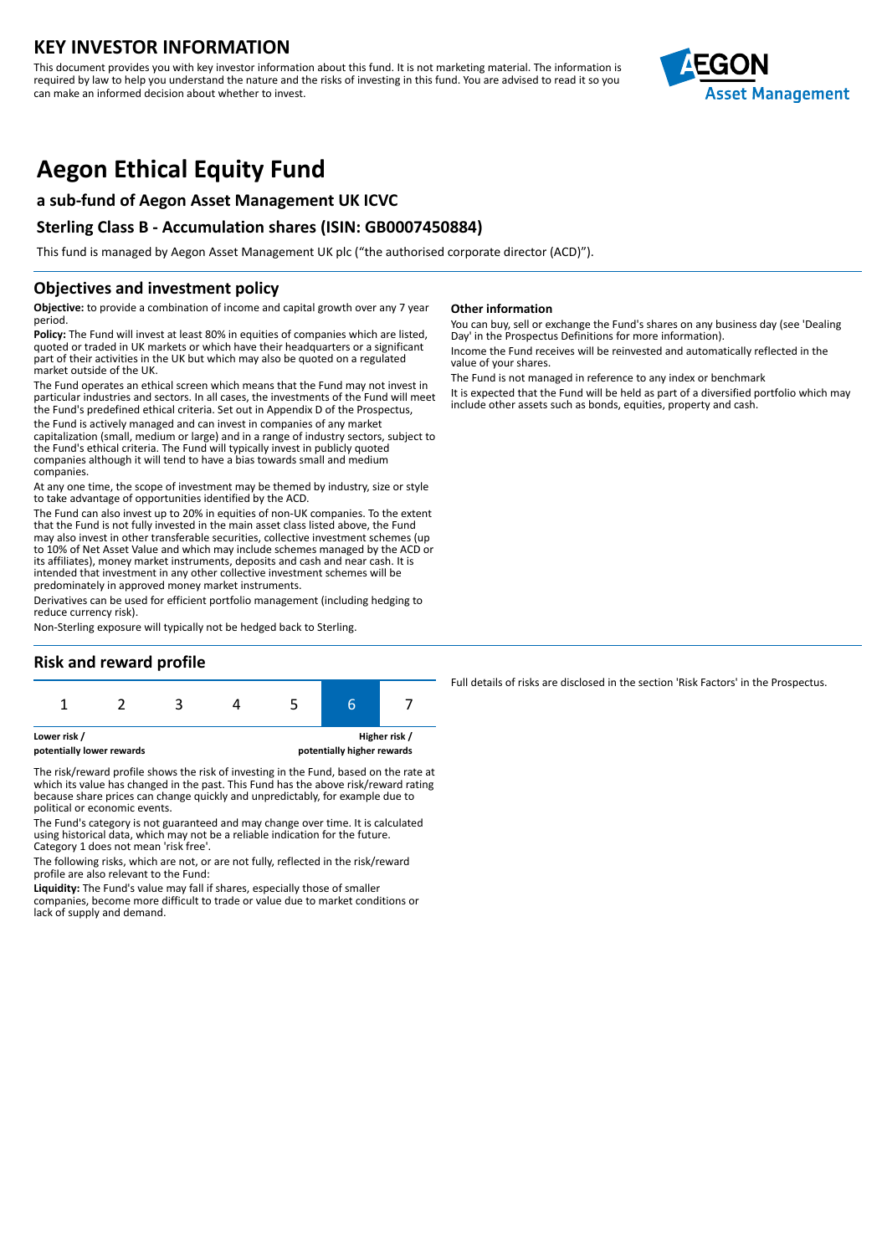## **KEY INVESTOR INFORMATION**

This document provides you with key investor information about this fund. It is not marketing material. The information is required by law to help you understand the nature and the risks of investing in this fund. You are advised to read it so you can make an informed decision about whether to invest.



# **Aegon Ethical Equity Fund**

## **a sub-fund of Aegon Asset Management UK ICVC**

## **Sterling Class B - Accumulation shares (ISIN: GB0007450884)**

This fund is managed by Aegon Asset Management UK plc ("the authorised corporate director (ACD)").

### **Objectives and investment policy**

**Objective:** to provide a combination of income and capital growth over any 7 year period.

**Policy:** The Fund will invest at least 80% in equities of companies which are listed, quoted or traded in UK markets or which have their headquarters or a significant part of their activities in the UK but which may also be quoted on a regulated market outside of the UK.

The Fund operates an ethical screen which means that the Fund may not invest in particular industries and sectors. In all cases, the investments of the Fund will meet the Fund's predefined ethical criteria. Set out in Appendix D of the Prospectus,

the Fund is actively managed and can invest in companies of any market capitalization (small, medium or large) and in a range of industry sectors, subject to the Fund's ethical criteria. The Fund will typically invest in publicly quoted companies although it will tend to have a bias towards small and medium companies.

At any one time, the scope of investment may be themed by industry, size or style to take advantage of opportunities identified by the ACD.

The Fund can also invest up to 20% in equities of non-UK companies. To the extent that the Fund is not fully invested in the main asset class listed above, the Fund may also invest in other transferable securities, collective investment schemes (up to 10% of Net Asset Value and which may include schemes managed by the ACD or its affiliates), money market instruments, deposits and cash and near cash. It is intended that investment in any other collective investment schemes will be predominately in approved money market instruments.

Derivatives can be used for efficient portfolio management (including hedging to reduce currency risk).

Non-Sterling exposure will typically not be hedged back to Sterling.

## **Risk and reward profile**



**potentially lower rewards potentially higher rewards**

The risk/reward profile shows the risk of investing in the Fund, based on the rate at which its value has changed in the past. This Fund has the above risk/reward rating because share prices can change quickly and unpredictably, for example due to political or economic events.

The Fund's category is not guaranteed and may change over time. It is calculated using historical data, which may not be a reliable indication for the future. Category 1 does not mean 'risk free'.

The following risks, which are not, or are not fully, reflected in the risk/reward profile are also relevant to the Fund:

**Liquidity:** The Fund's value may fall if shares, especially those of smaller companies, become more difficult to trade or value due to market conditions or lack of supply and demand.

#### **Other information**

You can buy, sell or exchange the Fund's shares on any business day (see 'Dealing Day' in the Prospectus Definitions for more information).

Income the Fund receives will be reinvested and automatically reflected in the value of your shares.

The Fund is not managed in reference to any index or benchmark It is expected that the Fund will be held as part of a diversified portfolio which may include other assets such as bonds, equities, property and cash.

Full details of risks are disclosed in the section 'Risk Factors' in the Prospectus.